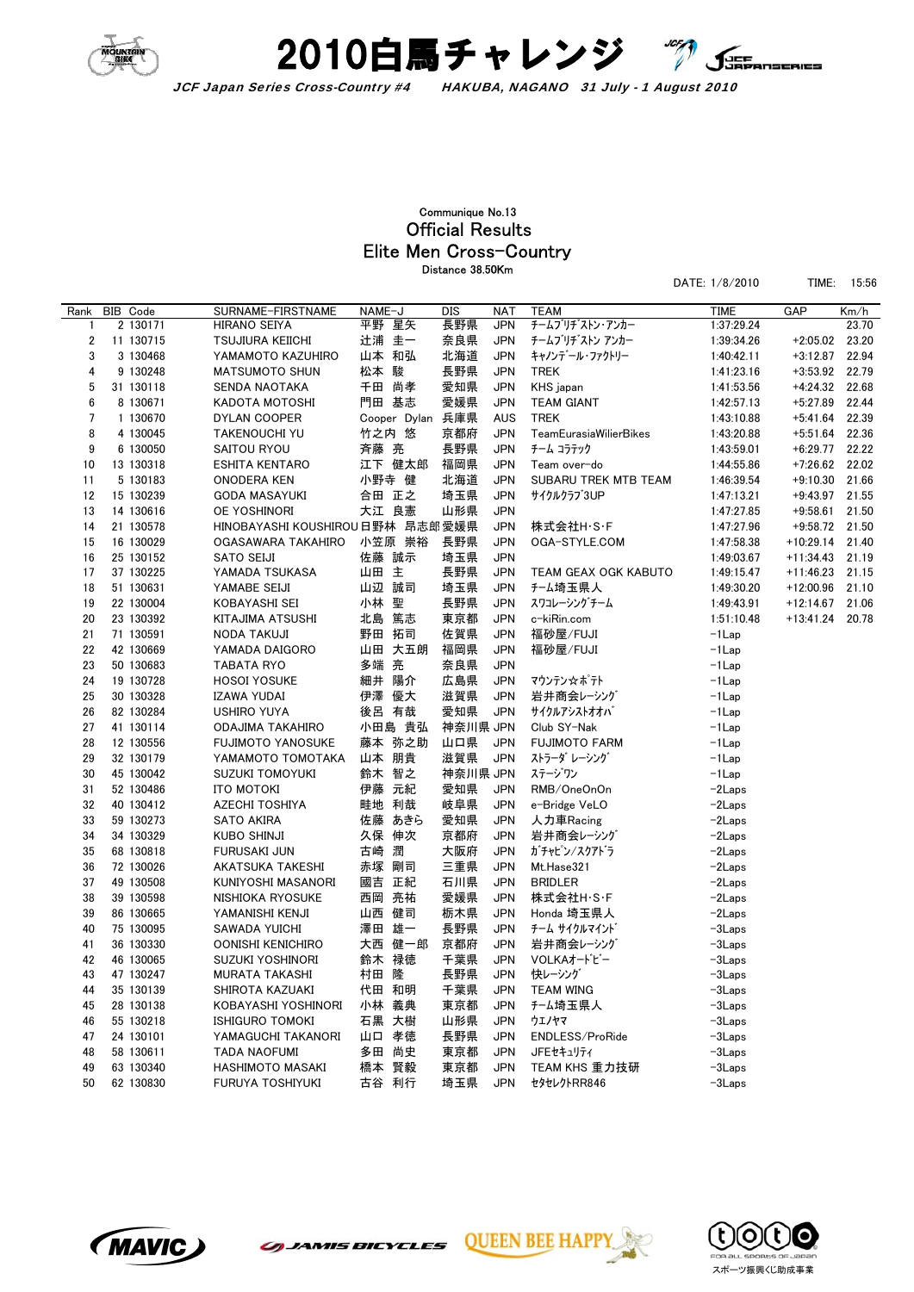



## Elite Men Cross-Country Official Results Communique No.13 Distance 38.50Km

| DATE: 1/8/2010 | TIME: 15:56 |  |
|----------------|-------------|--|
|                |             |  |

| Rank           | BIB Code  | SURNAME-FIRSTNAME                | NAME-J |                  | <b>DIS</b> | <b>NAT</b> | <b>TEAM</b>            | <b>TIME</b> | GAP         | Km/h  |
|----------------|-----------|----------------------------------|--------|------------------|------------|------------|------------------------|-------------|-------------|-------|
| 1              | 2 130171  | <b>HIRANO SEIYA</b>              | 平野 星矢  |                  | 長野県        | <b>JPN</b> | チームブリチ゛ストン・アンカー        | 1:37:29.24  |             | 23.70 |
| $\overline{2}$ | 11 130715 | <b>TSUJIURA KEIICHI</b>          | 辻浦 圭一  |                  | 奈良県        | <b>JPN</b> | チームブリチンストン アンカー        | 1:39:34.26  | $+2:05.02$  | 23.20 |
| 3              | 3 130468  | YAMAMOTO KAZUHIRO                | 山本 和弘  |                  | 北海道        | <b>JPN</b> | キャノンデール・ファクトリー         | 1:40:42.11  | $+3:12.87$  | 22.94 |
| 4              | 9 130248  | <b>MATSUMOTO SHUN</b>            | 松本 駿   |                  | 長野県        | <b>JPN</b> | <b>TREK</b>            | 1:41:23.16  | $+3:53.92$  | 22.79 |
| 5              | 31 130118 | SENDA NAOTAKA                    |        | 千田 尚孝            | 愛知県        | <b>JPN</b> | KHS japan              | 1:41:53.56  | $+4:24.32$  | 22.68 |
| 6              | 8 130671  | KADOTA MOTOSHI                   | 門田 基志  |                  | 愛媛県        | <b>JPN</b> | <b>TEAM GIANT</b>      | 1:42:57.13  | $+5:27.89$  | 22.44 |
| 7              | 1 130670  | DYLAN COOPER                     |        | Cooper Dylan 兵庫県 |            | <b>AUS</b> | <b>TREK</b>            | 1:43:10.88  | $+5:41.64$  | 22.39 |
| 8              | 4 130045  | <b>TAKENOUCHI YU</b>             | 竹之内 悠  |                  | 京都府        | <b>JPN</b> | TeamEurasiaWilierBikes | 1:43:20.88  | $+5:51.64$  | 22.36 |
| 9              | 6 130050  | SAITOU RYOU                      | 斉藤 亮   |                  | 長野県        | <b>JPN</b> | チーム コラテック              | 1:43:59.01  | $+6:29.77$  | 22.22 |
| 10             | 13 130318 | <b>ESHITA KENTARO</b>            |        | 江下 健太郎           | 福岡県        | <b>JPN</b> | Team over-do           | 1:44:55.86  | $+7:26.62$  | 22.02 |
| 11             | 5 130183  | <b>ONODERA KEN</b>               | 小野寺 健  |                  | 北海道        | <b>JPN</b> | SUBARU TREK MTB TEAM   | 1:46:39.54  | $+9:10.30$  | 21.66 |
| 12             | 15 130239 | <b>GODA MASAYUKI</b>             | 合田 正之  |                  | 埼玉県        | <b>JPN</b> | サイクルクラブ3UP             | 1:47:13.21  | $+9:43.97$  | 21.55 |
| 13             | 14 130616 | OE YOSHINORI                     | 大江 良憲  |                  | 山形県        | <b>JPN</b> |                        | 1:47:27.85  | $+9:58.61$  | 21.50 |
| 14             | 21 130578 | HINOBAYASHI KOUSHIROU 日野林 昂志郎愛媛県 |        |                  |            | <b>JPN</b> | 株式会社H·S·F              | 1:47:27.96  | +9:58.72    | 21.50 |
| 15             | 16 130029 | OGASAWARA TAKAHIRO               |        | 小笠原 崇裕           | 長野県        | JPN        | OGA-STYLE.COM          | 1:47:58.38  | $+10:29.14$ | 21.40 |
| 16             | 25 130152 | SATO SEIJI                       | 佐藤 誠示  |                  | 埼玉県        | <b>JPN</b> |                        | 1:49:03.67  | +11:34.43   | 21.19 |
| 17             | 37 130225 | YAMADA TSUKASA                   | 山田 主   |                  | 長野県        | <b>JPN</b> | TEAM GEAX OGK KABUTO   | 1:49:15.47  | $+11:46.23$ | 21.15 |
| 18             | 51 130631 | YAMABE SEIJI                     | 山辺 誠司  |                  | 埼玉県        | <b>JPN</b> | チーム埼玉県人                | 1:49:30.20  | $+12:00.96$ | 21.10 |
| 19             | 22 130004 | KOBAYASHI SEI                    | 小林 聖   |                  | 長野県        | <b>JPN</b> | スワコレーシングチーム            | 1:49:43.91  | $+12:14.67$ | 21.06 |
| 20             | 23 130392 | KITAJIMA ATSUSHI                 | 北島 篤志  |                  | 東京都        | <b>JPN</b> | c-kiRin.com            | 1:51:10.48  | $+13:41.24$ | 20.78 |
| 21             | 71 130591 | <b>NODA TAKUJI</b>               | 野田 拓司  |                  | 佐賀県        | <b>JPN</b> | 福砂屋/FUJI               | $-1$ Lap    |             |       |
| 22             | 42 130669 | YAMADA DAIGORO                   |        | 山田 大五朗           | 福岡県        | <b>JPN</b> | 福砂屋/FUJI               | $-1$ Lap    |             |       |
| 23             | 50 130683 | <b>TABATA RYO</b>                | 多端 亮   |                  | 奈良県        | <b>JPN</b> |                        | $-1$ Lap    |             |       |
| 24             | 19 130728 | <b>HOSOI YOSUKE</b>              | 細井 陽介  |                  | 広島県        | <b>JPN</b> | マウンテン☆ポテト              | $-1$ Lap    |             |       |
| 25             | 30 130328 | IZAWA YUDAI                      | 伊澤 優大  |                  | 滋賀県        | <b>JPN</b> | 岩井商会レーシング              | $-1$ Lap    |             |       |
| 26             | 82 130284 | <b>USHIRO YUYA</b>               | 後呂 有哉  |                  | 愛知県        | <b>JPN</b> | サイクルアシストオオバ            | $-1$ Lap    |             |       |
| 27             | 41 130114 | ODAJIMA TAKAHIRO                 |        | 小田島 貴弘           | 神奈川県 JPN   |            | Club SY-Nak            | $-1$ Lap    |             |       |
| 28             | 12 130556 | <b>FUJIMOTO YANOSUKE</b>         |        | 藤本 弥之助           | 山口県        | <b>JPN</b> | <b>FUJIMOTO FARM</b>   | $-1$ Lap    |             |       |
| 29             | 32 130179 | YAMAMOTO TOMOTAKA                | 山本 朋貴  |                  | 滋賀県        | <b>JPN</b> | ストラーダ レーシング            | $-1$ Lap    |             |       |
| 30             | 45 130042 | SUZUKI TOMOYUKI                  | 鈴木 智之  |                  | 神奈川県 JPN   |            | ステージワン                 | $-1$ Lap    |             |       |
| 31             | 52 130486 | <b>ITO MOTOKI</b>                | 伊藤 元紀  |                  | 愛知県        | <b>JPN</b> | RMB/OneOnOn            | $-2$ Laps   |             |       |
| 32             | 40 130412 | <b>AZECHI TOSHIYA</b>            |        | 畦地 利哉            | 岐阜県        | <b>JPN</b> | e-Bridge VeLO          | $-2$ Laps   |             |       |
| 33             | 59 130273 | <b>SATO AKIRA</b>                |        | 佐藤 あきら           | 愛知県        | <b>JPN</b> | 人力車Racing              | -2Laps      |             |       |
| 34             | 34 130329 | <b>KUBO SHINJI</b>               | 久保 伸次  |                  | 京都府        | <b>JPN</b> | 岩井商会レーシング              | $-2$ Laps   |             |       |
| 35             | 68 130818 | FURUSAKI JUN                     | 古崎     | 潤                | 大阪府        | <b>JPN</b> | ガチャピン/スクアドラ            | $-2$ Laps   |             |       |
| 36             | 72 130026 | AKATSUKA TAKESHI                 | 赤塚 剛司  |                  | 三重県        | <b>JPN</b> | Mt.Hase321             | $-2$ Laps   |             |       |
| 37             | 49 130508 | KUNIYOSHI MASANORI               | 國吉 正紀  |                  | 石川県        | <b>JPN</b> | <b>BRIDLER</b>         | $-2$ Laps   |             |       |
| 38             | 39 130598 | NISHIOKA RYOSUKE                 | 西岡 亮祐  |                  | 愛媛県        | <b>JPN</b> | 株式会社H·S·F              | $-2$ Laps   |             |       |
| 39             | 86 130665 | YAMANISHI KENJI                  | 山西 健司  |                  | 栃木県        | <b>JPN</b> | Honda 埼玉県人             | $-2$ Laps   |             |       |
| 40             | 75 130095 | <b>SAWADA YUICHI</b>             | 澤田 雄一  |                  | 長野県        | <b>JPN</b> | チーム サイクルマインド           | $-3$ Laps   |             |       |
| 41             | 36 130330 | OONISHI KENICHIRO                |        | 大西 健一郎           | 京都府        | <b>JPN</b> | 岩井商会レーシング              | $-3$ Laps   |             |       |
| 42             | 46 130065 | SUZUKI YOSHINORI                 | 鈴木 禄徳  |                  | 千葉県        | <b>JPN</b> | VOLKAオードビー             | $-3$ Laps   |             |       |
| 43             | 47 130247 | MURATA TAKASHI                   | 村田 隆   |                  | 長野県        | <b>JPN</b> | 快レーシング                 | $-3$ Laps   |             |       |
| 44             | 35 130139 | SHIROTA KAZUAKI                  | 代田 和明  |                  | 千葉県        | <b>JPN</b> | <b>TEAM WING</b>       | $-3$ Laps   |             |       |
| 45             | 28 130138 | KOBAYASHI YOSHINORI              | 小林 義典  |                  | 東京都        | <b>JPN</b> | チーム埼玉県人                | $-3$ Laps   |             |       |
| 46             | 55 130218 | <b>ISHIGURO TOMOKI</b>           | 石黒 大樹  |                  | 山形県        | <b>JPN</b> | ウエノヤマ                  | $-3$ Laps   |             |       |
| 47             | 24 130101 | YAMAGUCHI TAKANORI               | 山口 孝徳  |                  | 長野県        | <b>JPN</b> | ENDLESS/ProRide        | $-3$ Laps   |             |       |
| 48             | 58 130611 | <b>TADA NAOFUMI</b>              | 多田     | 尚史               | 東京都        | <b>JPN</b> | JFEセキュリティ              | $-3$ Laps   |             |       |
| 49             | 63 130340 | HASHIMOTO MASAKI                 | 橋本 賢毅  |                  | 東京都        | <b>JPN</b> | TEAM KHS 重力技研          | $-3$ Laps   |             |       |
| 50             | 62 130830 | FURUYA TOSHIYUKI                 | 古谷 利行  |                  | 埼玉県        | <b>JPN</b> | セタセレクトRR846            | $-3$ Laps   |             |       |



*GUANIS BICYCLES*